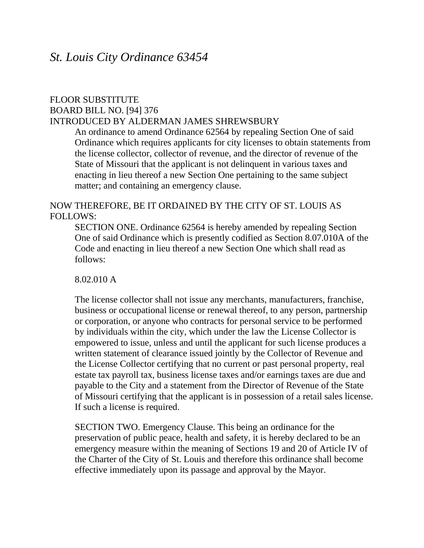## FLOOR SUBSTITUTE BOARD BILL NO. [94] 376 INTRODUCED BY ALDERMAN JAMES SHREWSBURY

An ordinance to amend Ordinance 62564 by repealing Section One of said Ordinance which requires applicants for city licenses to obtain statements from the license collector, collector of revenue, and the director of revenue of the State of Missouri that the applicant is not delinquent in various taxes and enacting in lieu thereof a new Section One pertaining to the same subject matter; and containing an emergency clause.

## NOW THEREFORE, BE IT ORDAINED BY THE CITY OF ST. LOUIS AS FOLLOWS:

SECTION ONE. Ordinance 62564 is hereby amended by repealing Section One of said Ordinance which is presently codified as Section 8.07.010A of the Code and enacting in lieu thereof a new Section One which shall read as follows:

8.02.010 A

The license collector shall not issue any merchants, manufacturers, franchise, business or occupational license or renewal thereof, to any person, partnership or corporation, or anyone who contracts for personal service to be performed by individuals within the city, which under the law the License Collector is empowered to issue, unless and until the applicant for such license produces a written statement of clearance issued jointly by the Collector of Revenue and the License Collector certifying that no current or past personal property, real estate tax payroll tax, business license taxes and/or earnings taxes are due and payable to the City and a statement from the Director of Revenue of the State of Missouri certifying that the applicant is in possession of a retail sales license. If such a license is required.

SECTION TWO. Emergency Clause. This being an ordinance for the preservation of public peace, health and safety, it is hereby declared to be an emergency measure within the meaning of Sections 19 and 20 of Article IV of the Charter of the City of St. Louis and therefore this ordinance shall become effective immediately upon its passage and approval by the Mayor.